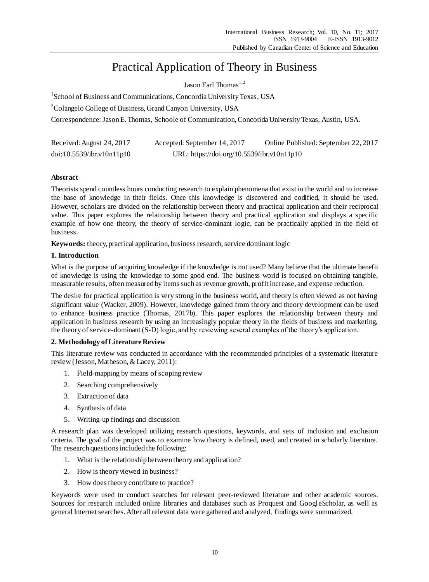# Practical Application of Theory in Business

Jason Earl Thomas<sup>1,2</sup>

<sup>1</sup>School of Business and Communications, Concordia University Texas, USA

<sup>2</sup>Colangelo College of Business, Grand Canyon University, USA

Correspondence: Jason E. Thomas, Schoole of Communication, Concorida University Texas, Austin, USA.

| Received: August 24, 2017 | Accepted: September 14, 2017               | Online Published: September 22, 2017 |
|---------------------------|--------------------------------------------|--------------------------------------|
| doi:10.5539/ibr.v10n11p10 | URL: https://doi.org/10.5539/ibr.v10n11p10 |                                      |

# **Abstract**

Theorists spend countless hours conducting research to explain phenomena that exist in the world and to increase the base of knowledge in their fields. Once this knowledge is discovered and codified, it should be used. However, scholars are divided on the relationship between theory and practical application and their reciprocal value. This paper explores the relationship between theory and practical application and displays a specific example of how one theory, the theory of service-dominant logic, can be practically applied in the field of business.

**Keywords:** theory, practical application, business research, service dominant logic

# **1. Introduction**

What is the purpose of acquiring knowledge if the knowledge is not used? Many believe that the ultimate benefit of knowledge is using the knowledge to some good end. The business world is focused on obtaining tangible, measurable results, often measured by items such as revenue growth, profit increase, and expense reduction.

The desire for practical application is very strong in the business world, and theory is often viewed as not having significant value (Wacker, 2009). However, knowledge gained from theory and theory development can be used to enhance business practice (Thomas, 2017b). This paper explores the relationship between theory and application in business research by using an increasingly popular theory in the fields of business and marketing, the theory of service-dominant (S-D) logic, and by reviewing several examples of the theory's application.

# **2. Methodology of Literature Review**

This literature review was conducted in accordance with the recommended principles of a systematic literature review (Jesson, Matheson, & Lacey, 2011):

- 1. Field-mapping by means of scoping review
- 2. Searching comprehensively
- 3. Extraction of data
- 4. Synthesis of data
- 5. Writing-up findings and discussion

A research plan was developed utilizing research questions, keywords, and sets of inclusion and exclusion criteria. The goal of the project was to examine how theory is defined, used, and created in scholarly literature. The research questions included the following:

- 1. What is the relationship between theory and application?
- 2. How is theory viewed in business?
- 3. How does theory contribute to practice?

Keywords were used to conduct searches for relevant peer-reviewed literature and other academic sources. Sources for research included online libraries and databases such as Proquest and GoogleScholar, as well as general Internet searches.After all relevant data were gathered and analyzed, findings were summarized.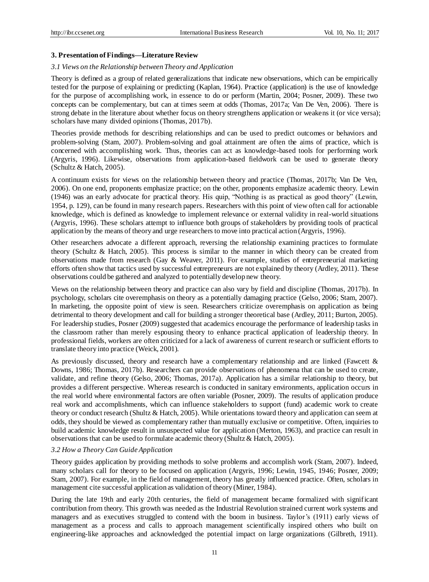## **3. Presentation of Findings—Literature Review**

#### *3.1 Views on the Relationship between Theory and Application*

Theory is defined as a group of related generalizations that indicate new observations, which can be empirically tested for the purpose of explaining or predicting (Kaplan, 1964). Practice (application) is the use of knowledge for the purpose of accomplishing work, in essence to do or perform (Martin, 2004; Posner, 2009). These two concepts can be complementary, but can at times seem at odds (Thomas, 2017a; Van De Ven, 2006). There is strong debate in the literature about whether focus on theory strengthens application or weakens it (or vice versa); scholars have many divided opinions (Thomas, 2017b).

Theories provide methods for describing relationships and can be used to predict outcomes or behaviors and problem-solving (Stam, 2007). Problem-solving and goal attainment are often the aims of practice, which is concerned with accomplishing work. Thus, theories can act as knowledge-based tools for performing work (Argyris, 1996). Likewise, observations from application-based fieldwork can be used to generate theory (Schultz & Hatch, 2005).

A continuum exists for views on the relationship between theory and practice (Thomas, 2017b; Van De Ven, 2006). On one end, proponents emphasize practice; on the other, proponents emphasize academic theory. Lewin (1946) was an early advocate for practical theory. His quip, "Nothing is as practical as good theory" (Lewin, 1954, p. 129), can be found in many research papers. Researchers with this point of view often call for actionable knowledge, which is defined as knowledge to implement relevance or external validity in real-world situations (Argyris, 1996). These scholars attempt to influence both groups of stakeholders by providing tools of practical application by the means of theory and urge researchers to move into practical action (Argyris, 1996).

Other researchers advocate a different approach, reversing the relationship examining practices to formulate theory (Schultz & Hatch, 2005). This process is similar to the manner in which theory can be created from observations made from research (Gay & Weaver, 2011). For example, studies of entrepreneurial marketing efforts often show that tactics used by successful entrepreneurs are not explained by theory (Ardley, 2011). These observations could be gathered and analyzed to potentially develop new theory.

Views on the relationship between theory and practice can also vary by field and discipline (Thomas, 2017b). In psychology, scholars cite overemphasis on theory as a potentially damaging practice (Gelso, 2006; Stam, 2007). In marketing, the opposite point of view is seen. Researchers criticize overemphasis on application as being detrimental to theory development and call for building a stronger theoretical base (Ardley, 2011; Burton, 2005). For leadership studies, Posner (2009) suggested that academics encourage the performance of leadership tasks in the classroom rather than merely espousing theory to enhance practical application of leadership theory. In professional fields, workers are often criticized for a lack of awareness of current research or sufficient efforts to translate theory into practice (Weick, 2001).

As previously discussed, theory and research have a complementary relationship and are linked (Fawcett & Downs, 1986; Thomas, 2017b). Researchers can provide observations of phenomena that can be used to create, validate, and refine theory (Gelso, 2006; Thomas, 2017a). Application has a similar relationship to theory, but provides a different perspective. Whereas research is conducted in sanitary environments, application occurs in the real world where environmental factors are often variable (Posner, 2009). The results of application produce real work and accomplishments, which can influence stakeholders to support (fund) academic work to create theory or conduct research (Shultz & Hatch, 2005). While orientations toward theory and application can seem at odds, they should be viewed as complementary rather than mutually exclusive or competitive. Often, inquiries to build academic knowledge result in unsuspected value for application (Merton, 1963), and practice can result in observations that can be used to formulate academic theory (Shultz & Hatch, 2005).

## *3.2 How a Theory Can Guide Application*

Theory guides application by providing methods to solve problems and accomplish work (Stam, 2007). Indeed, many scholars call for theory to be focused on application (Argyris, 1996; Lewin, 1945, 1946; Posner, 2009; Stam, 2007). For example, in the field of management, theory has greatly influenced practice. Often, scholars in management cite successful application as validation of theory (Miner, 1984).

During the late 19th and early 20th centuries, the field of management became formalized with significant contribution from theory. This growth was needed as the Industrial Revolution strained current work systems and managers and as executives struggled to contend with the boom in business. Taylor's (1911) early views of management as a process and calls to approach management scientifically inspired others who built on engineering-like approaches and acknowledged the potential impact on large organizations (Gilbreth, 1911).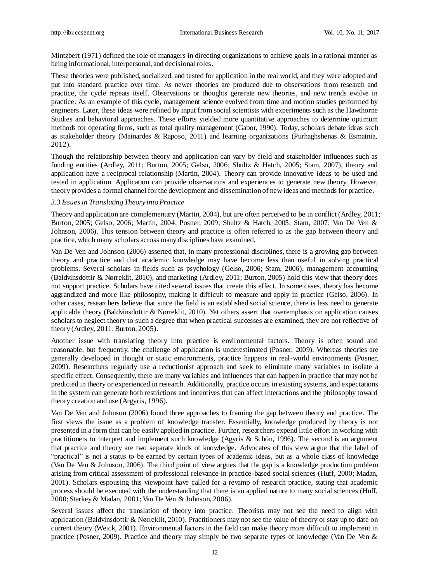Mintzbert (1971) defined the role of managers in directing organizations to achieve goals in a rational manner as being informational, interpersonal, and decisional roles.

These theories were published, socialized, and tested for application in the real world, and they were adopted and put into standard practice over time. As newer theories are produced due to observations from research and practice, the cycle repeats itself. Observations or thoughts generate new theories, and new trends evolve in practice. As an example of this cycle, management science evolved from time and motion studies performed by engineers. Later, these ideas were refined by input from social scientists with experiments such as the Hawthorne Studies and behavioral approaches. These efforts yielded more quantitative approaches to determine optimum methods for operating firms, such as total quality management (Gabor, 1990). Today, scholars debate ideas such as stakeholder theory (Mainardes & Raposo, 2011) and learning organizations (Purhaghshenas & Esmatnia, 2012).

Though the relationship between theory and application can vary by field and stakeholder influences such as funding entities (Ardley, 2011; Burton, 2005; Gelso, 2006; Shultz & Hatch, 2005; Stam, 2007), theory and application have a reciprocal relationship (Martin, 2004). Theory can provide innovative ideas to be used and tested in application. Application can provide observations and experiences to generate new theory. However, theory provides a formal channel for the development and dissemination of new ideas and methods for practice.

#### *3.3 Issues in Translating Theory into Practice*

Theory and application are complementary (Martin, 2004), but are often perceived to be in conflict (Ardley, 2011; Burton, 2005; Gelso, 2006; Martin, 2004; Posner, 2009; Shultz & Hatch, 2005; Stam, 2007; Van De Ven & Johnson, 2006). This tension between theory and practice is often referred to as the gap between theory and practice, which many scholars across many disciplines have examined.

Van De Ven and Johnson (2006) asserted that, in many professional disciplines, there is a growing gap between theory and practice and that academic knowledge may have become less than useful in solving practical problems. Several scholars in fields such as psychology (Gelso, 2006; Stam, 2006), management accounting (Baldvinsdottir & Nørreklit, 2010), and marketing (Ardley, 2011; Burton, 2005) hold this view that theory does not support practice. Scholars have cited several issues that create this effect. In some cases, theory has become aggrandized and more like philosophy, making it difficult to measure and apply in practice (Gelso, 2006). In other cases, researchers believe that since the field is an established social science, there is less need to generate applicable theory (Baldvinsdottir & Nørreklit, 2010). Yet others assert that overemphasis on application causes scholars to neglect theory to such a degree that when practical successes are examined, they are not reflective of theory (Ardley, 2011; Burton, 2005).

Another issue with translating theory into practice is environmental factors. Theory is often sound and reasonable, but frequently, the challenge of application is underestimated (Posner, 2009). Whereas theories are generally developed in thought or static environments, practice happens in real-world environments (Posner, 2009). Researchers regularly use a reductionist approach and seek to eliminate many variables to isolate a specific effect. Consequently, there are many variables and influences that can happen in practice that may not be predicted in theory or experienced in research. Additionally, practice occurs in existing systems, and expectations in the system can generate both restrictions and incentives that can affect interactions and the philosophy toward theory creation and use (Argyris, 1996).

Van De Ven and Johnson (2006) found three approaches to framing the gap between theory and practice. The first views the issue as a problem of knowledge transfer. Essentially, knowledge produced by theory is not presented in a form that can be easily applied in practice. Further, researchers expend little effort in working with practitioners to interpret and implement such knowledge (Agyris & Schön, 1996). The second is an argument that practice and theory are two separate kinds of knowledge. Advocates of this view argue that the label of "practical" is not a status to be earned by certain types of academic ideas, but as a whole class of knowledge (Van De Ven & Johnson, 2006). The third point of view argues that the gap is a knowledge production problem arising from critical assessment of professional relevance in practice-based social sciences (Huff, 2000; Madan, 2001). Scholars espousing this viewpoint have called for a revamp of research practice, stating that academic process should be executed with the understanding that there is an applied nature to many social sciences (Huff, 2000; Starkey & Madan, 2001; Van De Ven & Johnson, 2006).

Several issues affect the translation of theory into practice. Theorists may not see the need to align with application (Baldvinsdottir  $\&$  Nørreklit, 2010). Practitioners may not see the value of theory or stay up to date on current theory (Weick, 2001). Environmental factors in the field can make theory more difficult to implement in practice (Posner, 2009). Practice and theory may simply be two separate types of knowledge (Van De Ven &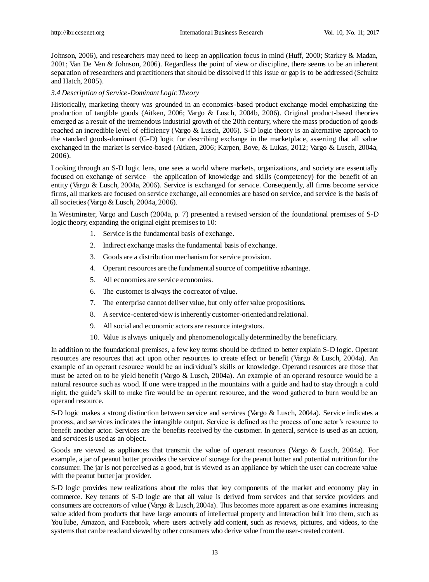Johnson, 2006), and researchers may need to keep an application focus in mind (Huff, 2000; Starkey & Madan, 2001; Van De Ven & Johnson, 2006). Regardless the point of view or discipline, there seems to be an inherent separation of researchers and practitioners that should be dissolved if this issue or gap is to be addressed (Schultz and Hatch, 2005).

#### *3.4 Description of Service-Dominant Logic Theory*

Historically, marketing theory was grounded in an economics-based product exchange model emphasizing the production of tangible goods (Aitken, 2006; Vargo & Lusch, 2004b, 2006). Original product-based theories emerged as a result of the tremendous industrial growth of the 20th century, where the mass production of goods reached an incredible level of efficiency (Vargo & Lusch, 2006). S-D logic theory is an alternative approach to the standard goods-dominant (G-D) logic for describing exchange in the marketplace, asserting that all value exchanged in the market is service-based (Aitken, 2006; Karpen, Bove, & Lukas, 2012; Vargo & Lusch, 2004a, 2006).

Looking through an S-D logic lens, one sees a world where markets, organizations, and society are essentially focused on exchange of service—the application of knowledge and skills (competency) for the benefit of an entity (Vargo & Lusch, 2004a, 2006). Service is exchanged for service. Consequently, all firms become service firms, all markets are focused on service exchange, all economies are based on service, and service is the basis of all societies (Vargo & Lusch, 2004a, 2006).

In Westminster, Vargo and Lusch (2004a, p. 7) presented a revised version of the foundational premises of S-D logic theory, expanding the original eight premises to 10:

- 1. Service is the fundamental basis of exchange.
- 2. Indirect exchange masks the fundamental basis of exchange.
- 3. Goods are a distribution mechanism for service provision.
- 4. Operant resources are the fundamental source of competitive advantage.
- 5. All economies are service economies.
- 6. The customer is always the cocreator of value.
- 7. The enterprise cannot deliver value, but only offer value propositions.
- 8. A service-centered view is inherently customer-oriented and relational.
- 9. All social and economic actors are resource integrators.
- 10. Value is always uniquely and phenomenologically determined by the beneficiary.

In addition to the foundational premises, a few key terms should be defined to better explain S-D logic. Operant resources are resources that act upon other resources to create effect or benefit (Vargo & Lusch, 2004a). An example of an operant resource would be an individual's skills or knowledge. Operand resources are those that must be acted on to be yield benefit (Vargo & Lusch, 2004a). An example of an operand resource would be a natural resource such as wood. If one were trapped in the mountains with a guide and had to stay through a cold night, the guide's skill to make fire would be an operant resource, and the wood gathered to burn would be an operand resource.

S-D logic makes a strong distinction between service and services (Vargo & Lusch, 2004a). Service indicates a process, and services indicates the intangible output. Service is defined as the process of one actor's resource to benefit another actor. Services are the benefits received by the customer. In general, service is used as an action, and services is used as an object.

Goods are viewed as appliances that transmit the value of operant resources (Vargo & Lusch, 2004a). For example, a jar of peanut butter provides the service of storage for the peanut butter and potential nutrition for the consumer. The jar is not perceived as a good, but is viewed as an appliance by which the user can cocreate value with the peanut butter jar provider.

S-D logic provides new realizations about the roles that key components of the market and economy play in commerce. Key tenants of S-D logic are that all value is derived from services and that service providers and consumers are cocreators of value (Vargo & Lusch, 2004a). This becomes more apparent as one examines increasing value added from products that have large amounts of intellectual property and interaction built into them, such as YouTube, Amazon, and Facebook, where users actively add content, such as reviews, pictures, and videos, to the systems that can be read and viewed by other consumers who derive value from the user-created content.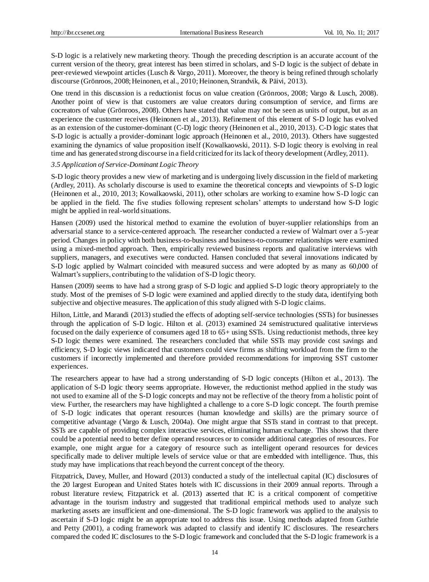S-D logic is a relatively new marketing theory. Though the preceding description is an accurate account of the current version of the theory, great interest has been stirred in scholars, and S-D logic is the subject of debate in peer-reviewed viewpoint articles (Lusch & Vargo, 2011). Moreover, the theory is being refined through scholarly discourse (Grönroos, 2008; Heinonen, et al., 2010; Heinonen, Strandvik, & Päivi, 2013).

One trend in this discussion is a reductionist focus on value creation (Grönroos, 2008; Vargo & Lusch, 2008). Another point of view is that customers are value creators during consumption of service, and firms are cocreators of value (Grönroos, 2008). Others have stated that value may not be seen as units of output, but as an experience the customer receives (Heinonen et al., 2013). Refinement of this element of S-D logic has evolved as an extension of the customer-dominant (C-D) logic theory (Heinonen et al., 2010, 2013). C-D logic states that S-D logic is actually a provider-dominant logic approach (Heinonen et al., 2010, 2013). Others have suggested examining the dynamics of value proposition itself (Kowalkaowski, 2011). S-D logic theory is evolving in real time and has generated strong discourse in a field criticized for its lack of theory development (Ardley, 2011).

## *3.5 Application of Service-Dominant Logic Theory*

S-D logic theory provides a new view of marketing and is undergoing lively discussion in the field of marketing (Ardley, 2011). As scholarly discourse is used to examine the theoretical concepts and viewpoints of S-D logic (Heinonen et al., 2010, 2013; Kowalkaowski, 2011), other scholars are working to examine how S-D logic can be applied in the field. The five studies following represent scholars' attempts to understand how S-D logic might be applied in real-world situations.

Hansen (2009) used the historical method to examine the evolution of buyer-supplier relationships from an adversarial stance to a service-centered approach. The researcher conducted a review of Walmart over a 5-year period. Changes in policy with both business-to-business and business-to-consumer relationships were examined using a mixed-method approach. Then, empirically reviewed business reports and qualitative interviews with suppliers, managers, and executives were conducted. Hansen concluded that several innovations indicated by S-D logic applied by Walmart coincided with measured success and were adopted by as many as 60,000 of Walmart's suppliers, contributing to the validation of S-D logic theory.

Hansen (2009) seems to have had a strong grasp of S-D logic and applied S-D logic theory appropriately to the study. Most of the premises of S-D logic were examined and applied directly to the study data, identifying both subjective and objective measures. The application of this study aligned with S-D logic claims.

Hilton, Little, and Marandi (2013) studied the effects of adopting self-service technologies (SSTs) for businesses through the application of S-D logic. Hilton et al. (2013) examined 24 semistructured qualitative interviews focused on the daily experience of consumers aged 18 to 65+ using SSTs. Using reductionist methods, three key S-D logic themes were examined. The researchers concluded that while SSTs may provide cost savings and efficiency, S-D logic views indicated that customers could view firms as shifting workload from the firm to the customers if incorrectly implemented and therefore provided recommendations for improving SST customer experiences.

The researchers appear to have had a strong understanding of S-D logic concepts (Hilton et al., 2013). The application of S-D logic theory seems appropriate. However, the reductionist method applied in the study was not used to examine all of the S-D logic concepts and may not be reflective of the theory from a holistic point of view. Further, the researchers may have highlighted a challenge to a core S-D logic concept. The fourth premise of S-D logic indicates that operant resources (human knowledge and skills) are the primary source of competitive advantage (Vargo & Lusch, 2004a). One might argue that SSTs stand in contrast to that precept. SSTs are capable of providing complex interactive services, eliminating human exchange. This shows that there could be a potential need to better define operand resources or to consider additional categories of resources. For example, one might argue for a category of resource such as intelligent operand resources for devices specifically made to deliver multiple levels of service value or that are embedded with intelligence. Thus, this study may have implications that reach beyond the current concept of the theory.

Fitzpatrick, Davey, Muller, and Howard (2013) conducted a study of the intellectual capital (IC) disclosures of the 20 largest European and United States hotels with IC discussions in their 2009 annual reports. Through a robust literature review, Fitzpatrick et al. (2013) asserted that IC is a critical component of competitive advantage in the tourism industry and suggested that traditional empirical methods used to analyze such marketing assets are insufficient and one-dimensional. The S-D logic framework was applied to the analysis to ascertain if S-D logic might be an appropriate tool to address this issue. Using methods adapted from Guthrie and Petty (2001), a coding framework was adapted to classify and identify IC disclosures. The researchers compared the coded IC disclosures to the S-D logic framework and concluded that the S-D logic framework is a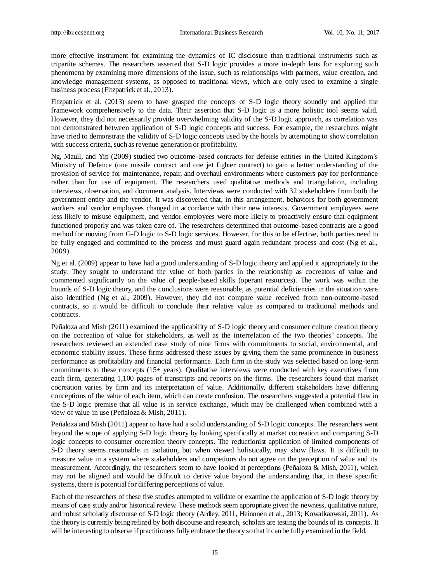more effective instrument for examining the dynamics of IC disclosure than traditional instruments such as tripartite schemes. The researchers asserted that S-D logic provides a more in-depth lens for exploring such phenomena by examining more dimensions of the issue, such as relationships with partners, value creation, and knowledge management systems, as opposed to traditional views, which are only used to examine a single business process (Fitzpatrick et al., 2013).

Fitzpatrick et al. (2013) seem to have grasped the concepts of S-D logic theory soundly and applied the framework comprehensively to the data. Their assertion that S-D logic is a more holistic tool seems valid. However, they did not necessarily provide overwhelming validity of the S-D logic approach, as correlation was not demonstrated between application of S-D logic concepts and success. For example, the researchers might have tried to demonstrate the validity of S-D logic concepts used by the hotels by attempting to show correlation with success criteria, such as revenue generation or profitability.

Ng, Maull, and Yip (2009) studied two outcome-based contracts for defense entities in the United Kingdom's Ministry of Defence (one missile contract and one jet fighter contract) to gain a better understanding of the provision of service for maintenance, repair, and overhaul environments where customers pay for performance rather than for use of equipment. The researchers used qualitative methods and triangulation, including interviews, observation, and document analysis. Interviews were conducted with 32 stakeholders from both the government entity and the vendor. It was discovered that, in this arrangement, behaviors for both government workers and vendor employees changed in accordance with their new interests. Government employees were less likely to misuse equipment, and vendor employees were more likely to proactively ensure that equipment functioned properly and was taken care of. The researchers determined that outcome-based contracts are a good method for moving from G-D logic to S-D logic services. However, for this to be effective, both parties need to be fully engaged and committed to the process and must guard again redundant process and cost (Ng et al., 2009).

Ng et al. (2009) appear to have had a good understanding of S-D logic theory and applied it appropriately to the study. They sought to understand the value of both parties in the relationship as cocreators of value and commented significantly on the value of people-based skills (operant resources). The work was within the bounds of S-D logic theory, and the conclusions were reasonable, as potential deficiencies in the situation were also identified (Ng et al., 2009). However, they did not compare value received from non-outcome-based contracts, so it would be difficult to conclude their relative value as compared to traditional methods and contracts.

Peñaloza and Mish (2011) examined the applicability of S-D logic theory and consumer culture creation theory on the cocreation of value for stakeholders, as well as the interrelation of the two theories' concepts. The researchers reviewed an extended case study of nine firms with commitments to social, environmental, and economic stability issues. These firms addressed these issues by giving them the same prominence in business performance as profitability and financial performance. Each firm in the study was selected based on long-term commitments to these concepts (15+ years). Qualitative interviews were conducted with key executives from each firm, generating 1,100 pages of transcripts and reports on the firms. The researchers found that market cocreation varies by firm and its interpretation of value. Additionally, different stakeholders have differing conceptions of the value of each item, which can create confusion. The researchers suggested a potential flaw in the S-D logic premise that all value is in service exchange, which may be challenged when combined with a view of value in use (Peñaloza & Mish, 2011).

Peñaloza and Mish (2011) appear to have had a solid understanding of S-D logic concepts. The researchers went beyond the scope of applying S-D logic theory by looking specifically at market cocreation and comparing S-D logic concepts to consumer cocreation theory concepts. The reductionist application of limited components of S-D theory seems reasonable in isolation, but when viewed holistically, may show flaws. It is difficult to measure value in a system where stakeholders and competitors do not agree on the perception of value and its measurement. Accordingly, the researchers seem to have looked at perceptions (Peñaloza & Mish, 2011), which may not be aligned and would be difficult to derive value beyond the understanding that, in these specific systems, there is potential for differing perceptions of value.

Each of the researchers of these five studies attempted to validate or examine the application of S-D logic theory by means of case study and/or historical review. These methods seem appropriate given the newness, qualitative nature, and robust scholarly discourse of S-D logic theory (Ardley, 2011, Heinonen et al., 2013; Kowalkaowski, 2011). As the theory is currently being refined by both discourse and research, scholars are testing the bounds of its concepts. It will be interesting to observe if practitioners fully embrace the theory so that it can be fully examined in the field.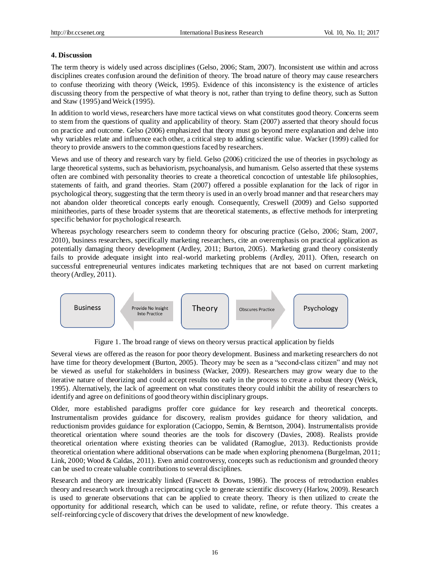# **4. Discussion**

The term theory is widely used across disciplines (Gelso, 2006; Stam, 2007). Inconsistent use within and across disciplines creates confusion around the definition of theory. The broad nature of theory may cause researchers to confuse theorizing with theory (Weick, 1995). Evidence of this inconsistency is the existence of articles discussing theory from the perspective of what theory is not, rather than trying to define theory, such as Sutton and Staw (1995) and Weick (1995).

In addition to world views, researchers have more tactical views on what constitutes good theory. Concerns seem to stem from the questions of quality and applicability of theory. Stam (2007) asserted that theory should focus on practice and outcome. Gelso (2006) emphasized that theory must go beyond mere explanation and delve into why variables relate and influence each other, a critical step to adding scientific value. Wacker (1999) called for theory to provide answers to the common questions faced by researchers.

Views and use of theory and research vary by field. Gelso (2006) criticized the use of theories in psychology as large theoretical systems, such as behaviorism, psychoanalysis, and humanism. Gelso asserted that these systems often are combined with personality theories to create a theoretical concoction of untestable life philosophies, statements of faith, and grand theories. Stam (2007) offered a possible explanation for the lack of rigor in psychological theory, suggesting that the term theory is used in an overly broad manner and that researchers may not abandon older theoretical concepts early enough. Consequently, Creswell (2009) and Gelso supported minitheories, parts of these broader systems that are theoretical statements, as effective methods for interpreting specific behavior for psychological research.

Whereas psychology researchers seem to condemn theory for obscuring practice (Gelso, 2006; Stam, 2007, 2010), business researchers, specifically marketing researchers, cite an overemphasis on practical application as potentially damaging theory development (Ardley, 2011; Burton, 2005). Marketing grand theory consistently fails to provide adequate insight into real-world marketing problems (Ardley, 2011). Often, research on successful entrepreneurial ventures indicates marketing techniques that are not based on current marketing theory (Ardley, 2011).



Figure 1. The broad range of views on theory versus practical application by fields

Several views are offered as the reason for poor theory development. Business and marketing researchers do not have time for theory development (Burton, 2005). Theory may be seen as a "second-class citizen" and may not be viewed as useful for stakeholders in business (Wacker, 2009). Researchers may grow weary due to the iterative nature of theorizing and could accept results too early in the process to create a robust theory (Weick, 1995). Alternatively, the lack of agreement on what constitutes theory could inhibit the ability of researchers to identify and agree on definitions of good theory within disciplinary groups.

Older, more established paradigms proffer core guidance for key research and theoretical concepts. Instrumentalism provides guidance for discovery, realism provides guidance for theory validation, and reductionism provides guidance for exploration (Cacioppo, Semin, & Berntson, 2004). Instrumentalists provide theoretical orientation where sound theories are the tools for discovery (Davies, 2008). Realists provide theoretical orientation where existing theories can be validated (Ramoglue, 2013). Reductionists provide theoretical orientation where additional observations can be made when exploring phenomena (Burgelman, 2011; Link, 2000; Wood & Caldas, 2011). Even amid controversy, concepts such as reductionism and grounded theory can be used to create valuable contributions to several disciplines.

Research and theory are inextricably linked (Fawcett & Downs, 1986). The process of retroduction enables theory and research work through a reciprocating cycle to generate scientific discovery (Harlow, 2009). Research is used to generate observations that can be applied to create theory. Theory is then utilized to create the opportunity for additional research, which can be used to validate, refine, or refute theory. This creates a self-reinforcing cycle of discovery that drives the development of new knowledge.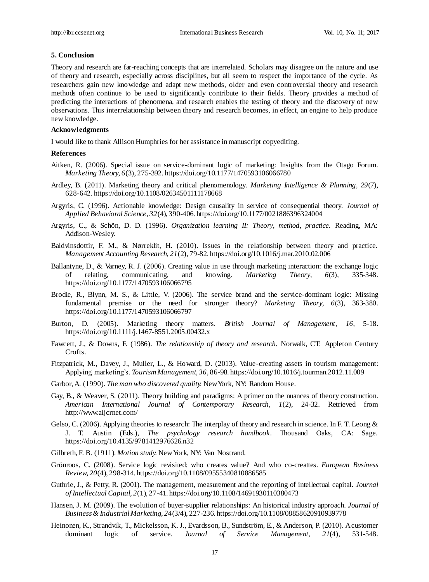## **5. Conclusion**

Theory and research are far-reaching concepts that are interrelated. Scholars may disagree on the nature and use of theory and research, especially across disciplines, but all seem to respect the importance of the cycle. As researchers gain new knowledge and adapt new methods, older and even controversial theory and research methods often continue to be used to significantly contribute to their fields. Theory provides a method of predicting the interactions of phenomena, and research enables the testing of theory and the discovery of new observations. This interrelationship between theory and research becomes, in effect, an engine to help produce new knowledge.

## **Acknowledgments**

I would like to thank Allison Humphries for her assistance in manuscript copyediting.

## **References**

- Aitken, R. (2006). Special issue on service-dominant logic of marketing: Insights from the Otago Forum. *Marketing Theory, 6*(3), 275-392*.* https://doi.org/10.1177/1470593106066780
- Ardley, B. (2011). Marketing theory and critical phenomenology. *Marketing Intelligence & Planning, 29*(7), 628-642. https://doi.org/10.1108/02634501111178668
- Argyris, C. (1996). Actionable knowledge: Design causality in service of consequential theory. *Journal of Applied Behavioral Science, 32*(4), 390-406. https://doi.org/10.1177/0021886396324004
- Argyris, C., & Schön, D. D. (1996). *Organization learning II: Theory, method, practice.* Reading, MA: Addison-Wesley.
- Baldvinsdottir, F. M., & Nørreklit, H. (2010). Issues in the relationship between theory and practice. *Management Accounting Research, 21*(2), 79-82. https://doi.org/10.1016/j.mar.2010.02.006
- Ballantyne, D., & Varney, R. J. (2006). Creating value in use through marketing interaction: the exchange logic of relating, communicating, and knowing. *Marketing Theory, 6*(3), 335-348. https://doi.org/10.1177/1470593106066795
- Brodie, R., Blynn, M. S., & Little, V. (2006). The service brand and the service-dominant logic: Missing fundamental premise or the need for stronger theory? *Marketing Theory, 6*(3), 363-380. https://doi.org/10.1177/1470593106066797
- Burton, D. (2005). Marketing theory matters. *British Journal of Management, 16*, 5-18. https://doi.org/10.1111/j.1467-8551.2005.00432.x
- Fawcett, J., & Downs, F. (1986). *The relationship of theory and research.* Norwalk, CT: Appleton Century Crofts.
- Fitzpatrick, M., Davey, J., Muller, L., & Howard, D. (2013). Value-creating assets in tourism management: Applying marketing's. *Tourism Management, 36*, 86-98. https://doi.org/10.1016/j.tourman.2012.11.009
- Garbor, A. (1990). *The man who discovered quality.* New York, NY: Random House.
- Gay, B., & Weaver, S. (2011). Theory building and paradigms: A primer on the nuances of theory construction. *American International Journal of Contemporary Research, 1*(2), 24-32. Retrieved from http://www.aijcrnet.com/
- Gelso, C. (2006). Applying theories to research: The interplay of theory and research in science. In F. T. Leong & J. T. Austin (Eds.), *The psychology research handbook*. Thousand Oaks, CA: Sage. https://doi.org/10.4135/9781412976626.n32
- Gilbreth, F. B. (1911). *Motion study.* New York, NY: Van Nostrand.
- Grönroos, C. (2008). Service logic revisited; who creates value? And who co-creattes. *European Business Review, 20*(4), 298-314. https://doi.org/10.1108/09555340810886585
- Guthrie, J., & Petty, R. (2001). The management, measurement and the reporting of intellectual capital. *Journal of Intellectual Capital, 2*(1), 27-41. https://doi.org/10.1108/14691930110380473
- Hansen, J. M. (2009). The evolution of buyer-supplier relationships: An historical industry approach. *Journal of Business & Industrial Marketing, 24*(3/4), 227-236. https://doi.org/10.1108/08858620910939778
- Heinonen, K., Strandvik, T., Mickelsson, K. J., Evardsson, B., Sundström, E., & Anderson, P. (2010). A customer dominant logic of service. *Journal of Service Management, 21*(4), 531-548.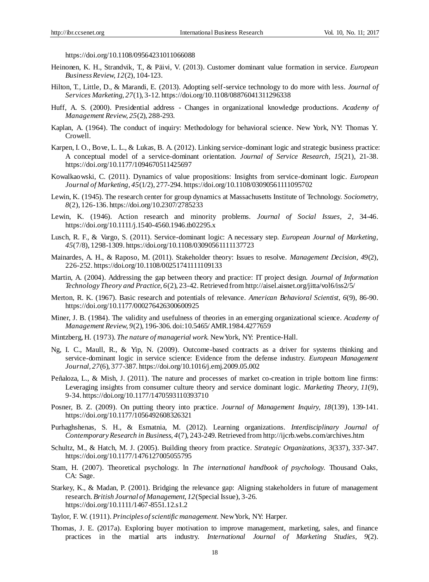https://doi.org/10.1108/09564231011066088

- Heinonen, K. H., Strandvik, T., & Päivi, V. (2013). Customer dominant value formation in service. *European Business Review, 12*(2), 104-123.
- Hilton, T., Little, D., & Marandi, E. (2013). Adopting self-service technology to do more with less. *Journal of Services Marketing, 27*(1), 3-12. https://doi.org/10.1108/08876041311296338
- Huff, A. S. (2000). Presidential address Changes in organizational knowledge productions. *Academy of Management Review, 25*(2), 288-293.
- Kaplan, A. (1964). The conduct of inquiry: Methodology for behavioral science. New York, NY: Thomas Y. Crowell.
- Karpen, I. O., Bove, L. L., & Lukas, B. A. (2012). Linking service-dominant logic and strategic business practice: A conceptual model of a service-dominant orientation. *Journal of Service Research, 15*(21), 21-38. https://doi.org/10.1177/1094670511425697
- Kowalkaowski, C. (2011). Dynamics of value propositions: Insights from service-dominant logic. *European Journal of Marketing, 45*(1/2), 277-294. https://doi.org/10.1108/03090561111095702
- Lewin, K. (1945). The research center for group dynamics at Massachusetts Institute of Technology. *Sociometry, 8*(2), 126-136. https://doi.org/10.2307/2785233
- Lewin, K. (1946). Action research and minority problems. *Journal of Social Issues, 2*, 34-46. https://doi.org/10.1111/j.1540-4560.1946.tb02295.x
- Lusch, R. F., & Vargo, S. (2011). Service-dominant logic: A necessary step. *European Journal of Marketing, 45*(7/8), 1298-1309. https://doi.org/10.1108/03090561111137723
- Mainardes, A. H., & Raposo, M. (2011). Stakeholder theory: Issues to resolve. *Management Decision, 49*(2), 226-252. https://doi.org/10.1108/00251741111109133
- Martin, A. (2004). Addressing the gap between theory and practice: IT project design. *Journal of Information Technology Theory and Practice, 6*(2), 23-42. Retrieved from http://aisel.aisnet.org/jitta/vol6/iss2/5/
- Merton, R. K. (1967). Basic research and potentials of relevance. *American Behavioral Scientist, 6*(9), 86-90. https://doi.org/10.1177/000276426300600925
- Miner, J. B. (1984). The validity and usefulness of theories in an emerging organizational science. *Academy of Management Review, 9*(2), 196-306. doi:10.5465/ AMR.1984.4277659
- Mintzberg, H. (1973). *The nature of managerial work.* New York, NY: Prentice-Hall.
- Ng, I. C., Maull, R., & Yip, N. (2009). Outcome-based contracts as a driver for systems thinking and service-dominant logic in service science: Evidence from the defense industry. *European Management Journal, 27*(6), 377-387. https://doi.org/10.1016/j.emj.2009.05.002
- Peñaloza, L., & Mish, J. (2011). The nature and processes of market co-creation in triple bottom line firms: Leveraging insights from consumer culture theory and service dominant logic. *Marketing Theory, 11*(9), 9-34. https://doi.org/10.1177/1470593110393710
- Posner, B. Z. (2009). On putting theory into practice. *Journal of Management Inquiry, 18*(139), 139-141. https://doi.org/10.1177/1056492608326321
- Purhaghshenas, S. H., & Esmatnia, M. (2012). Learning organizations. *Interdisciplinary Journal of Contemporary Research in Business, 4*(7), 243-249. Retrieved from http://ijcrb.webs.com/archives.htm
- Schultz, M., & Hatch, M. J. (2005). Building theory from practice. *Strategic Organizations, 3*(337), 337-347. https://doi.org/10.1177/1476127005055795
- Stam, H. (2007). Theoretical psychology. In *The international handbook of psychology.* Thousand Oaks, CA: Sage.
- Starkey, K., & Madan, P. (2001). Bridging the relevance gap: Aligning stakeholders in future of management research. *British Journal of Management, 12*(Special Issue), 3-26. https://doi.org/10.1111/1467-8551.12.s1.2
- Taylor, F. W. (1911). *Principles of scientific management.* New York, NY: Harper.
- Thomas, J. E. (2017a). Exploring buyer motivation to improve management, marketing, sales, and finance practices in the martial arts industry. *International Journal of Marketing Studies, 9*(2).